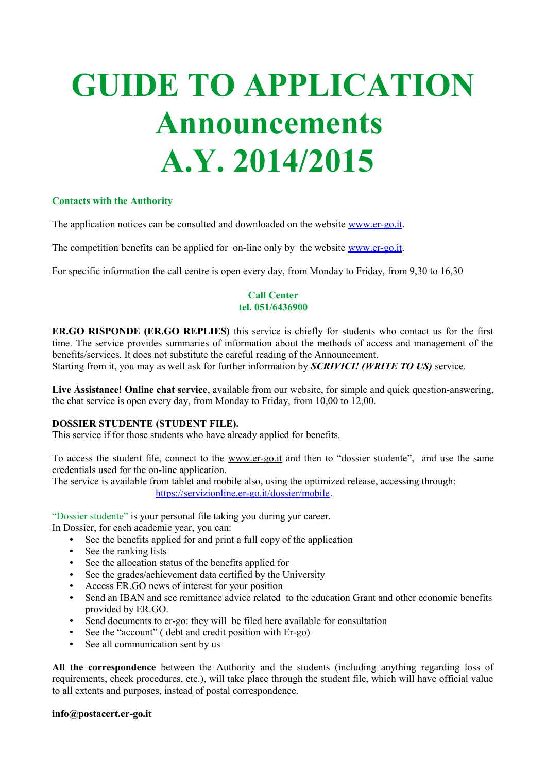# **GUIDE TO APPLICATION Announcements A.Y. 2014/2015**

#### **Contacts with the Authority**

The application notices can be consulted and downloaded on the website [www.er-go.it.](http://www.er-go.it/)

The competition benefits can be applied for on-line only by the website [www.er-go.it.](http://www.er-go.it/)

For specific information the call centre is open every day, from Monday to Friday, from 9,30 to 16,30

#### **Call Center tel. 051/6436900**

**ER.GO RISPONDE (ER.GO REPLIES)** this service is chiefly for students who contact us for the first time. The service provides summaries of information about the methods of access and management of the benefits/services. It does not substitute the careful reading of the Announcement. Starting from it, you may as well ask for further information by *SCRIVICI! (WRITE TO US)* service.

**Live Assistance! Online chat service**, available from our website, for simple and quick question-answering, the chat service is open every day, from Monday to Friday, from 10,00 to 12,00.

#### **DOSSIER STUDENTE (STUDENT FILE).**

This service if for those students who have already applied for benefits.

To access the student file, connect to the [www.er-go.it](http://www.er-go.it/) and then to "dossier studente", and use the same credentials used for the on-line application.

The service is available from tablet and mobile also, using the optimized release, accessing through: [https://servizionline.er-go.it/dossier/mobile.](https://servizionline.er-go.it/dossier/mobile)

"Dossier studente" is your personal file taking you during yur career.

In Dossier, for each academic year, you can:

- See the benefits applied for and print a full copy of the application
- See the ranking lists
- See the allocation status of the benefits applied for
- See the grades/achievement data certified by the University
- Access ER.GO news of interest for your position
- Send an IBAN and see remittance advice related to the education Grant and other economic benefits provided by ER.GO.
- Send documents to er-go: they will be filed here available for consultation
- See the "account" ( debt and credit position with Er-go)
- See all communication sent by us

**All the correspondence** between the Authority and the students (including anything regarding loss of requirements, check procedures, etc.), will take place through the student file, which will have official value to all extents and purposes, instead of postal correspondence.

#### **info@postacert.er-go.it**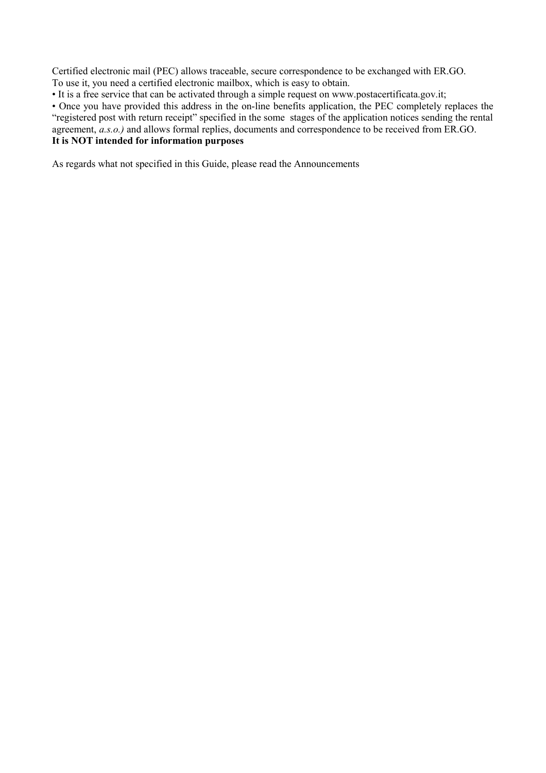Certified electronic mail (PEC) allows traceable, secure correspondence to be exchanged with ER.GO. To use it, you need a certified electronic mailbox, which is easy to obtain.

• It is a free service that can be activated through a simple request on www.postacertificata.gov.it;

• Once you have provided this address in the on-line benefits application, the PEC completely replaces the "registered post with return receipt" specified in the some stages of the application notices sending the rental agreement, *a.s.o.)* and allows formal replies, documents and correspondence to be received from ER.GO. **It is NOT intended for information purposes**

As regards what not specified in this Guide, please read the Announcements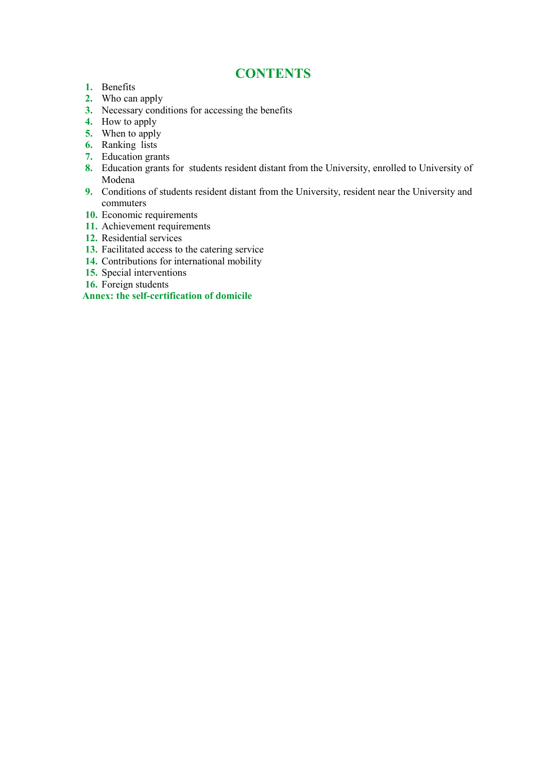## **CONTENTS**

- **1.** Benefits
- **2.** Who can apply
- **3.** Necessary conditions for accessing the benefits
- **4.** How to apply
- **5.** When to apply
- **6.** Ranking lists
- **7.** Education grants
- **8.** Education grants for students resident distant from the University, enrolled to University of Modena
- **9.** Conditions of students resident distant from the University, resident near the University and commuters
- **10.** Economic requirements
- **11.** Achievement requirements
- **12.** Residential services
- **13.** Facilitated access to the catering service
- **14.** Contributions for international mobility
- **15.** Special interventions
- **16.** Foreign students

#### **Annex: the self-certification of domicile**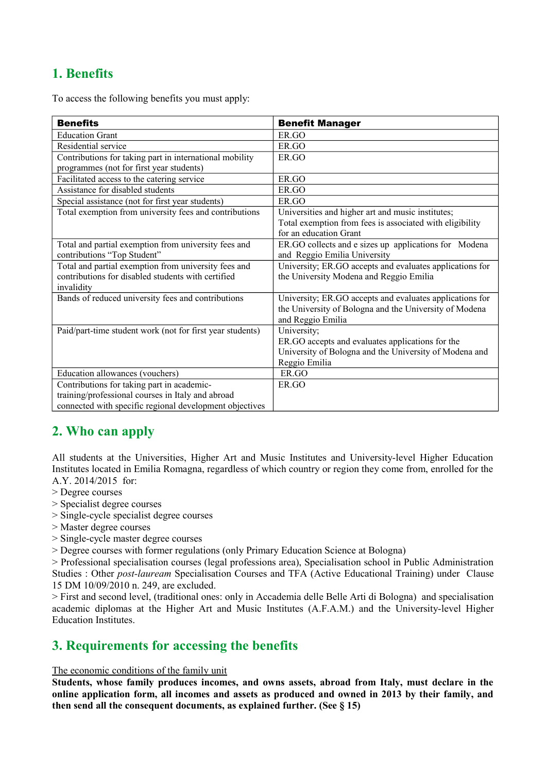# **1. Benefits**

To access the following benefits you must apply:

| <b>Benefits</b>                                                                                                          | <b>Benefit Manager</b>                                                                                                                     |
|--------------------------------------------------------------------------------------------------------------------------|--------------------------------------------------------------------------------------------------------------------------------------------|
| <b>Education Grant</b>                                                                                                   | ER.GO                                                                                                                                      |
| Residential service                                                                                                      | ER.GO                                                                                                                                      |
| Contributions for taking part in international mobility<br>programmes (not for first year students)                      | ER.GO                                                                                                                                      |
| Facilitated access to the catering service                                                                               | ER.GO                                                                                                                                      |
| Assistance for disabled students                                                                                         | ER.GO                                                                                                                                      |
| Special assistance (not for first year students)                                                                         | ER.GO                                                                                                                                      |
| Total exemption from university fees and contributions                                                                   | Universities and higher art and music institutes;<br>Total exemption from fees is associated with eligibility<br>for an education Grant    |
| Total and partial exemption from university fees and<br>contributions "Top Student"                                      | ER.GO collects and e sizes up applications for Modena<br>and Reggio Emilia University                                                      |
| Total and partial exemption from university fees and<br>contributions for disabled students with certified<br>invalidity | University; ER.GO accepts and evaluates applications for<br>the University Modena and Reggio Emilia                                        |
| Bands of reduced university fees and contributions                                                                       | University; ER.GO accepts and evaluates applications for<br>the University of Bologna and the University of Modena<br>and Reggio Emilia    |
| Paid/part-time student work (not for first year students)                                                                | University;<br>ER.GO accepts and evaluates applications for the<br>University of Bologna and the University of Modena and<br>Reggio Emilia |
| Education allowances (vouchers)                                                                                          | ER.GO                                                                                                                                      |
| Contributions for taking part in academic-                                                                               | ER.GO                                                                                                                                      |
| training/professional courses in Italy and abroad                                                                        |                                                                                                                                            |
| connected with specific regional development objectives                                                                  |                                                                                                                                            |

# **2. Who can apply**

All students at the Universities, Higher Art and Music Institutes and University-level Higher Education Institutes located in Emilia Romagna, regardless of which country or region they come from, enrolled for the A.Y. 2014/2015 for:

- > Degree courses
- > Specialist degree courses
- > Single-cycle specialist degree courses
- > Master degree courses
- > Single-cycle master degree courses
- > Degree courses with former regulations (only Primary Education Science at Bologna)

> Professional specialisation courses (legal professions area), Specialisation school in Public Administration Studies : Other *post-lauream* Specialisation Courses and TFA (Active Educational Training) under Clause 15 DM 10/09/2010 n. 249, are excluded.

> First and second level, (traditional ones: only in Accademia delle Belle Arti di Bologna) and specialisation academic diplomas at the Higher Art and Music Institutes (A.F.A.M.) and the University-level Higher Education Institutes.

# **3. Requirements for accessing the benefits**

#### The economic conditions of the family unit

**Students, whose family produces incomes, and owns assets, abroad from Italy, must declare in the online application form, all incomes and assets as produced and owned in 2013 by their family, and then send all the consequent documents, as explained further. (See § 15)**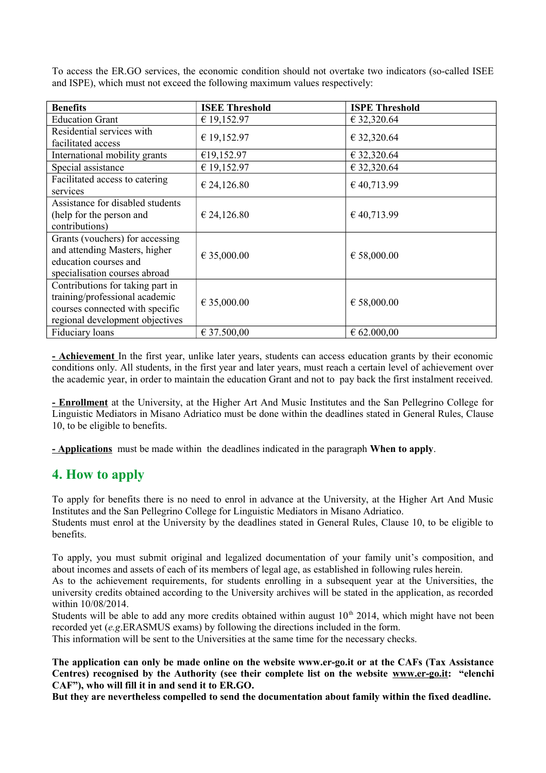| <b>Benefits</b>                                                                                                                          | <b>ISEE Threshold</b> | <b>ISPE Threshold</b> |
|------------------------------------------------------------------------------------------------------------------------------------------|-----------------------|-----------------------|
| <b>Education Grant</b>                                                                                                                   | € 19,152.97           | € 32,320.64           |
| Residential services with<br>facilitated access                                                                                          | € 19,152.97           | € 32,320.64           |
| International mobility grants                                                                                                            | €19,152.97            | € 32,320.64           |
| Special assistance                                                                                                                       | € 19,152.97           | € 32,320.64           |
| Facilitated access to catering<br>services                                                                                               | € 24,126.80           | €40,713.99            |
| Assistance for disabled students<br>(help for the person and<br>contributions)                                                           | € 24,126.80           | €40,713.99            |
| Grants (vouchers) for accessing<br>and attending Masters, higher<br>education courses and<br>specialisation courses abroad               | € 35,000.00           | € 58,000.00           |
| Contributions for taking part in<br>training/professional academic<br>courses connected with specific<br>regional development objectives | € 35,000.00           | € 58,000.00           |
| Fiduciary loans                                                                                                                          | € 37.500,00           | $\epsilon$ 62.000,00  |

To access the ER.GO services, the economic condition should not overtake two indicators (so-called ISEE and ISPE), which must not exceed the following maximum values respectively:

**- Achievement** In the first year, unlike later years, students can access education grants by their economic conditions only. All students, in the first year and later years, must reach a certain level of achievement over the academic year, in order to maintain the education Grant and not to pay back the first instalment received.

**- Enrollment** at the University, at the Higher Art And Music Institutes and the San Pellegrino College for Linguistic Mediators in Misano Adriatico must be done within the deadlines stated in General Rules, Clause 10, to be eligible to benefits.

**- Applications** must be made within the deadlines indicated in the paragraph **When to apply**.

## **4. How to apply**

To apply for benefits there is no need to enrol in advance at the University, at the Higher Art And Music Institutes and the San Pellegrino College for Linguistic Mediators in Misano Adriatico. Students must enrol at the University by the deadlines stated in General Rules, Clause 10, to be eligible to

benefits.

To apply, you must submit original and legalized documentation of your family unit's composition, and about incomes and assets of each of its members of legal age, as established in following rules herein.

As to the achievement requirements, for students enrolling in a subsequent year at the Universities, the university credits obtained according to the University archives will be stated in the application, as recorded within 10/08/2014.

Students will be able to add any more credits obtained within august  $10<sup>th</sup>$  2014, which might have not been recorded yet (*e.g*.ERASMUS exams) by following the directions included in the form.

This information will be sent to the Universities at the same time for the necessary checks.

**The application can only be made online on the website www.er-go.it or at the CAFs (Tax Assistance Centres) recognised by the Authority (see their complete list on the website [www.er-go.it:](http://www.er-go.it/) "elenchi CAF"), who will fill it in and send it to ER.GO.**

**But they are nevertheless compelled to send the documentation about family within the fixed deadline.**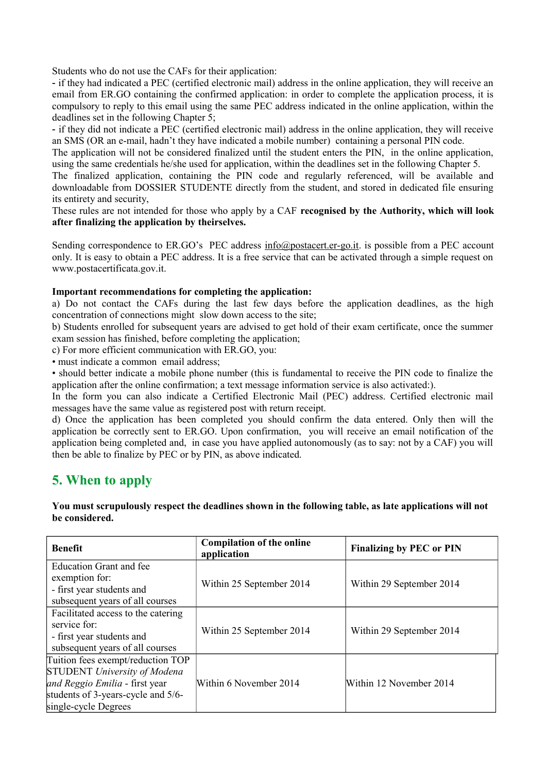Students who do not use the CAFs for their application:

- if they had indicated a PEC (certified electronic mail) address in the online application, they will receive an email from ER.GO containing the confirmed application: in order to complete the application process, it is compulsory to reply to this email using the same PEC address indicated in the online application, within the deadlines set in the following Chapter 5;

- if they did not indicate a PEC (certified electronic mail) address in the online application, they will receive an SMS (OR an e-mail, hadn't they have indicated a mobile number) containing a personal PIN code.

The application will not be considered finalized until the student enters the PIN, in the online application, using the same credentials he/she used for application, within the deadlines set in the following Chapter 5.

The finalized application, containing the PIN code and regularly referenced, will be available and downloadable from DOSSIER STUDENTE directly from the student, and stored in dedicated file ensuring its entirety and security,

These rules are not intended for those who apply by a CAF **recognised by the Authority, which will look after finalizing the application by theirselves.**

Sending correspondence to ER.GO's PEC address  $\frac{info(\partial postacert.er-go.it.}{i}$  is possible from a PEC account only. It is easy to obtain a PEC address. It is a free service that can be activated through a simple request on www.postacertificata.gov.it.

#### **Important recommendations for completing the application:**

a) Do not contact the CAFs during the last few days before the application deadlines, as the high concentration of connections might slow down access to the site;

b) Students enrolled for subsequent years are advised to get hold of their exam certificate, once the summer exam session has finished, before completing the application;

c) For more efficient communication with ER.GO, you:

• must indicate a common email address;

• should better indicate a mobile phone number (this is fundamental to receive the PIN code to finalize the application after the online confirmation; a text message information service is also activated:).

In the form you can also indicate a Certified Electronic Mail (PEC) address. Certified electronic mail messages have the same value as registered post with return receipt.

d) Once the application has been completed you should confirm the data entered. Only then will the application be correctly sent to ER.GO. Upon confirmation, you will receive an email notification of the application being completed and, in case you have applied autonomously (as to say: not by a CAF) you will then be able to finalize by PEC or by PIN, as above indicated.

## **5. When to apply**

**You must scrupulously respect the deadlines shown in the following table, as late applications will not be considered.**

| <b>Benefit</b>                                                                                                                                                           | <b>Compilation of the online</b><br>application | <b>Finalizing by PEC or PIN</b> |
|--------------------------------------------------------------------------------------------------------------------------------------------------------------------------|-------------------------------------------------|---------------------------------|
| <b>Education Grant and fee</b><br>exemption for:<br>- first year students and<br>subsequent years of all courses                                                         | Within 25 September 2014                        | Within 29 September 2014        |
| Facilitated access to the catering<br>service for:<br>- first year students and<br>subsequent years of all courses                                                       | Within 25 September 2014                        | Within 29 September 2014        |
| Tuition fees exempt/reduction TOP<br><b>STUDENT</b> University of Modena<br>and Reggio Emilia - first year<br>students of 3-years-cycle and 5/6-<br>single-cycle Degrees | Within 6 November 2014                          | Within 12 November 2014         |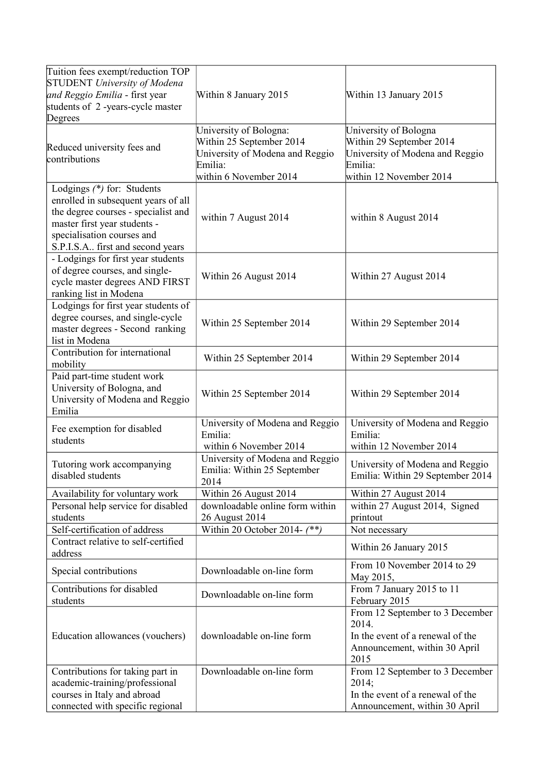| Tuition fees exempt/reduction TOP<br><b>STUDENT</b> University of Modena<br>and Reggio Emilia - first year<br>students of 2-years-cycle master<br>Degrees                                                  | Within 8 January 2015                                                                                                      | Within 13 January 2015                                                                                                     |
|------------------------------------------------------------------------------------------------------------------------------------------------------------------------------------------------------------|----------------------------------------------------------------------------------------------------------------------------|----------------------------------------------------------------------------------------------------------------------------|
| Reduced university fees and<br>contributions                                                                                                                                                               | University of Bologna:<br>Within 25 September 2014<br>University of Modena and Reggio<br>Emilia:<br>within 6 November 2014 | University of Bologna<br>Within 29 September 2014<br>University of Modena and Reggio<br>Emilia:<br>within 12 November 2014 |
| Lodgings (*) for: Students<br>enrolled in subsequent years of all<br>the degree courses - specialist and<br>master first year students -<br>specialisation courses and<br>S.P.I.S.A first and second years | within 7 August 2014                                                                                                       | within 8 August 2014                                                                                                       |
| - Lodgings for first year students<br>of degree courses, and single-<br>cycle master degrees AND FIRST<br>ranking list in Modena                                                                           | Within 26 August 2014                                                                                                      | Within 27 August 2014                                                                                                      |
| Lodgings for first year students of<br>degree courses, and single-cycle<br>master degrees - Second ranking<br>list in Modena                                                                               | Within 25 September 2014                                                                                                   | Within 29 September 2014                                                                                                   |
| Contribution for international<br>mobility                                                                                                                                                                 | Within 25 September 2014                                                                                                   | Within 29 September 2014                                                                                                   |
| Paid part-time student work<br>University of Bologna, and<br>University of Modena and Reggio<br>Emilia                                                                                                     | Within 25 September 2014                                                                                                   | Within 29 September 2014                                                                                                   |
| Fee exemption for disabled<br>students                                                                                                                                                                     | University of Modena and Reggio<br>Emilia:<br>within 6 November 2014                                                       | University of Modena and Reggio<br>Emilia:<br>within 12 November 2014                                                      |
| Tutoring work accompanying<br>disabled students                                                                                                                                                            | University of Modena and Reggio<br>Emilia: Within 25 September<br>2014                                                     | University of Modena and Reggio<br>Emilia: Within 29 September 2014                                                        |
| Availability for voluntary work                                                                                                                                                                            | Within 26 August 2014                                                                                                      | Within 27 August 2014                                                                                                      |
| Personal help service for disabled<br>students                                                                                                                                                             | downloadable online form within<br>26 August 2014                                                                          | within 27 August 2014, Signed<br>printout                                                                                  |
| Self-certification of address<br>Contract relative to self-certified                                                                                                                                       | Within 20 October 2014- $(**)$                                                                                             | Not necessary                                                                                                              |
| address                                                                                                                                                                                                    |                                                                                                                            | Within 26 January 2015                                                                                                     |
| Special contributions                                                                                                                                                                                      | Downloadable on-line form                                                                                                  | From 10 November 2014 to 29<br>May 2015,                                                                                   |
| Contributions for disabled<br>students                                                                                                                                                                     | Downloadable on-line form                                                                                                  | From 7 January 2015 to 11<br>February 2015                                                                                 |
| Education allowances (vouchers)                                                                                                                                                                            | downloadable on-line form                                                                                                  | From 12 September to 3 December<br>2014.<br>In the event of a renewal of the<br>Announcement, within 30 April<br>2015      |
| Contributions for taking part in                                                                                                                                                                           | Downloadable on-line form                                                                                                  | From 12 September to 3 December<br>2014;                                                                                   |
| academic-training/professional<br>courses in Italy and abroad                                                                                                                                              |                                                                                                                            | In the event of a renewal of the                                                                                           |
| connected with specific regional                                                                                                                                                                           |                                                                                                                            | Announcement, within 30 April                                                                                              |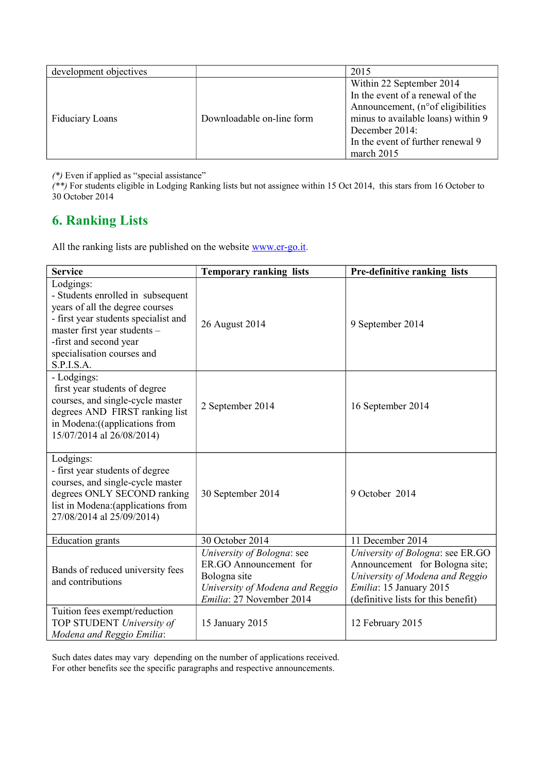| development objectives |                           | 2015                                                                                                                                                                                                          |
|------------------------|---------------------------|---------------------------------------------------------------------------------------------------------------------------------------------------------------------------------------------------------------|
| <b>Fiduciary Loans</b> | Downloadable on-line form | Within 22 September 2014<br>In the event of a renewal of the<br>Announcement, (n° of eligibilities<br>minus to available loans) within 9<br>December 2014:<br>In the event of further renewal 9<br>march 2015 |

*(\*)* Even if applied as "special assistance"

*(\*\*)* For students eligible in Lodging Ranking lists but not assignee within 15 Oct 2014, this stars from 16 October to 30 October 2014

# **6. Ranking Lists**

All the ranking lists are published on the website [www.er-go.it](http://www.er-go.it/).

| <b>Service</b>                                                                                                                                                                                                                  | <b>Temporary ranking lists</b>                                                                                                      | Pre-definitive ranking lists                                                                                                                                            |
|---------------------------------------------------------------------------------------------------------------------------------------------------------------------------------------------------------------------------------|-------------------------------------------------------------------------------------------------------------------------------------|-------------------------------------------------------------------------------------------------------------------------------------------------------------------------|
| Lodgings:<br>- Students enrolled in subsequent<br>years of all the degree courses<br>- first year students specialist and<br>master first year students -<br>-first and second year<br>specialisation courses and<br>S.P.I.S.A. | 26 August 2014                                                                                                                      | 9 September 2014                                                                                                                                                        |
| - Lodgings:<br>first year students of degree<br>courses, and single-cycle master<br>degrees AND FIRST ranking list<br>in Modena: ((applications from<br>15/07/2014 al 26/08/2014)                                               | 2 September 2014                                                                                                                    | 16 September 2014                                                                                                                                                       |
| Lodgings:<br>- first year students of degree<br>courses, and single-cycle master<br>degrees ONLY SECOND ranking<br>list in Modena: (applications from<br>27/08/2014 al 25/09/2014)                                              | 30 September 2014                                                                                                                   | 9 October 2014                                                                                                                                                          |
| <b>Education</b> grants                                                                                                                                                                                                         | 30 October 2014                                                                                                                     | 11 December 2014                                                                                                                                                        |
| Bands of reduced university fees<br>and contributions                                                                                                                                                                           | University of Bologna: see<br>ER.GO Announcement for<br>Bologna site<br>University of Modena and Reggio<br>Emilia: 27 November 2014 | University of Bologna: see ER.GO<br>Announcement for Bologna site;<br>University of Modena and Reggio<br>Emilia: 15 January 2015<br>(definitive lists for this benefit) |
| Tuition fees exempt/reduction<br>TOP STUDENT University of<br>Modena and Reggio Emilia:                                                                                                                                         | 15 January 2015                                                                                                                     | 12 February 2015                                                                                                                                                        |

Such dates dates may vary depending on the number of applications received. For other benefits see the specific paragraphs and respective announcements.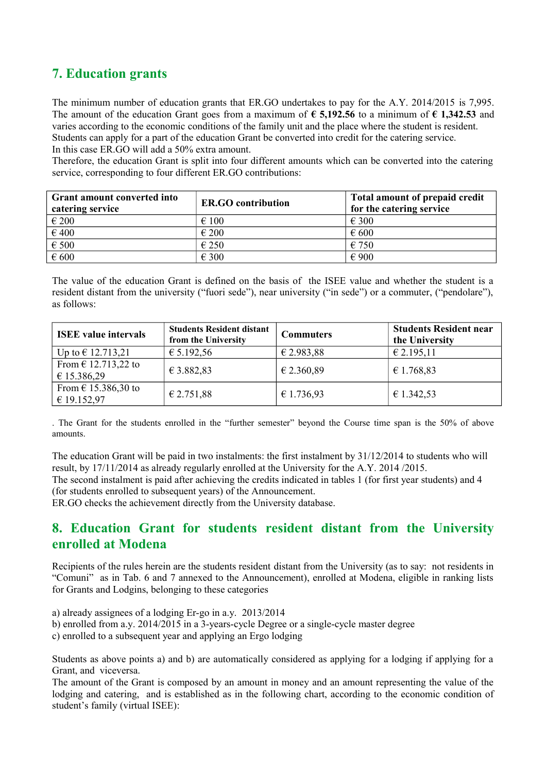# **7. Education grants**

The minimum number of education grants that ER.GO undertakes to pay for the A.Y. 2014/2015 is 7,995. The amount of the education Grant goes from a maximum of **€ 5,192.56** to a minimum of **€ 1,342.53** and varies according to the economic conditions of the family unit and the place where the student is resident. Students can apply for a part of the education Grant be converted into credit for the catering service. In this case ER.GO will add a 50% extra amount.

Therefore, the education Grant is split into four different amounts which can be converted into the catering service, corresponding to four different ER.GO contributions:

| <b>Grant amount converted into</b><br>catering service | <b>ER.GO</b> contribution | Total amount of prepaid credit<br>for the catering service |
|--------------------------------------------------------|---------------------------|------------------------------------------------------------|
| $\epsilon$ 200                                         | $\epsilon$ 100            | $\epsilon$ 300                                             |
| €400                                                   | $\epsilon$ 200            | $\epsilon$ 600                                             |
| $\epsilon$ 500                                         | €250                      | € 750                                                      |
| $\epsilon$ 600                                         | € 300                     | $\epsilon$ 900                                             |

The value of the education Grant is defined on the basis of the ISEE value and whether the student is a resident distant from the university ("fuori sede"), near university ("in sede") or a commuter, ("pendolare"), as follows:

| <b>ISEE</b> value intervals            | <b>Students Resident distant</b><br>from the University | <b>Commuters</b> | <b>Students Resident near</b><br>the University |
|----------------------------------------|---------------------------------------------------------|------------------|-------------------------------------------------|
| Up to $\in$ 12.713,21                  | € 5.192,56                                              | € 2.983,88       | € 2.195,11                                      |
| From $\in$ 12.713,22 to<br>€ 15.386,29 | € 3.882,83                                              | € 2.360,89       | € 1.768,83                                      |
| From $\in$ 15.386,30 to<br>€ 19.152,97 | € 2.751,88                                              | € 1.736,93       | € 1.342,53                                      |

. The Grant for the students enrolled in the "further semester" beyond the Course time span is the 50% of above amounts.

The education Grant will be paid in two instalments: the first instalment by 31/12/2014 to students who will result, by 17/11/2014 as already regularly enrolled at the University for the A.Y. 2014 /2015.

The second instalment is paid after achieving the credits indicated in tables 1 (for first year students) and 4 (for students enrolled to subsequent years) of the Announcement.

ER.GO checks the achievement directly from the University database.

## **8. Education Grant for students resident distant from the University enrolled at Modena**

Recipients of the rules herein are the students resident distant from the University (as to say: not residents in "Comuni" as in Tab. 6 and 7 annexed to the Announcement), enrolled at Modena, eligible in ranking lists for Grants and Lodgins, belonging to these categories

- a) already assignees of a lodging Er-go in a.y. 2013/2014
- b) enrolled from a.y. 2014/2015 in a 3-years-cycle Degree or a single-cycle master degree
- c) enrolled to a subsequent year and applying an Ergo lodging

Students as above points a) and b) are automatically considered as applying for a lodging if applying for a Grant, and viceversa.

The amount of the Grant is composed by an amount in money and an amount representing the value of the lodging and catering, and is established as in the following chart, according to the economic condition of student's family (virtual ISEE):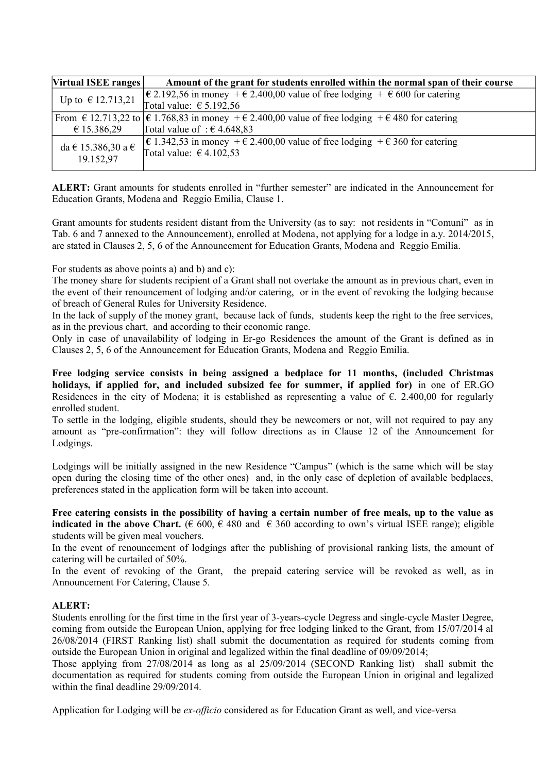| Virtual ISEE ranges                     | Amount of the grant for students enrolled within the normal span of their course                                    |
|-----------------------------------------|---------------------------------------------------------------------------------------------------------------------|
| Up to $\in$ 12.713,21                   | $\in$ 2.192,56 in money + $\in$ 2.400,00 value of free lodging + $\in$ 600 for catering                             |
|                                         | Total value: $\epsilon$ 5.192,56                                                                                    |
|                                         | From $\in$ 12.713,22 to $ \in$ 1.768,83 in money + $\in$ 2.400,00 value of free lodging + $\in$ 480 for catering    |
| € 15.386,29                             | Total value of: $\epsilon$ 4.648,83                                                                                 |
| da $\in$ 15.386,30 a $\in$<br>19.152,97 | $\in$ 1.342,53 in money + € 2.400,00 value of free lodging + € 360 for catering<br>Total value: $\epsilon$ 4.102,53 |

**ALERT:** Grant amounts for students enrolled in "further semester" are indicated in the Announcement for Education Grants, Modena and Reggio Emilia, Clause 1.

Grant amounts for students resident distant from the University (as to say: not residents in "Comuni" as in Tab. 6 and 7 annexed to the Announcement), enrolled at Modena, not applying for a lodge in a.y. 2014/2015, are stated in Clauses 2, 5, 6 of the Announcement for Education Grants, Modena and Reggio Emilia.

For students as above points a) and b) and c):

The money share for students recipient of a Grant shall not overtake the amount as in previous chart, even in the event of their renouncement of lodging and/or catering, or in the event of revoking the lodging because of breach of General Rules for University Residence.

In the lack of supply of the money grant, because lack of funds, students keep the right to the free services, as in the previous chart, and according to their economic range.

Only in case of unavailability of lodging in Er-go Residences the amount of the Grant is defined as in Clauses 2, 5, 6 of the Announcement for Education Grants, Modena and Reggio Emilia.

**Free lodging service consists in being assigned a bedplace for 11 months, (included Christmas holidays, if applied for, and included subsized fee for summer, if applied for)** in one of ER.GO Residences in the city of Modena; it is established as representing a value of €. 2.400,00 for regularly enrolled student.

To settle in the lodging, eligible students, should they be newcomers or not, will not required to pay any amount as "pre-confirmation": they will follow directions as in Clause 12 of the Announcement for Lodgings.

Lodgings will be initially assigned in the new Residence "Campus" (which is the same which will be stay open during the closing time of the other ones) and, in the only case of depletion of available bedplaces, preferences stated in the application form will be taken into account.

**Free catering consists in the possibility of having a certain number of free meals, up to the value as indicated in the above Chart.** (€ 600, € 480 and € 360 according to own's virtual ISEE range); eligible students will be given meal vouchers.

In the event of renouncement of lodgings after the publishing of provisional ranking lists, the amount of catering will be curtailed of 50%.

In the event of revoking of the Grant, the prepaid catering service will be revoked as well, as in Announcement For Catering, Clause 5.

#### **ALERT:**

Students enrolling for the first time in the first year of 3-years-cycle Degress and single-cycle Master Degree, coming from outside the European Union, applying for free lodging linked to the Grant, from 15/07/2014 al 26/08/2014 (FIRST Ranking list) shall submit the documentation as required for students coming from outside the European Union in original and legalized within the final deadline of 09/09/2014;

Those applying from 27/08/2014 as long as al 25/09/2014 (SECOND Ranking list) shall submit the documentation as required for students coming from outside the European Union in original and legalized within the final deadline 29/09/2014.

Application for Lodging will be *ex-officio* considered as for Education Grant as well, and vice-versa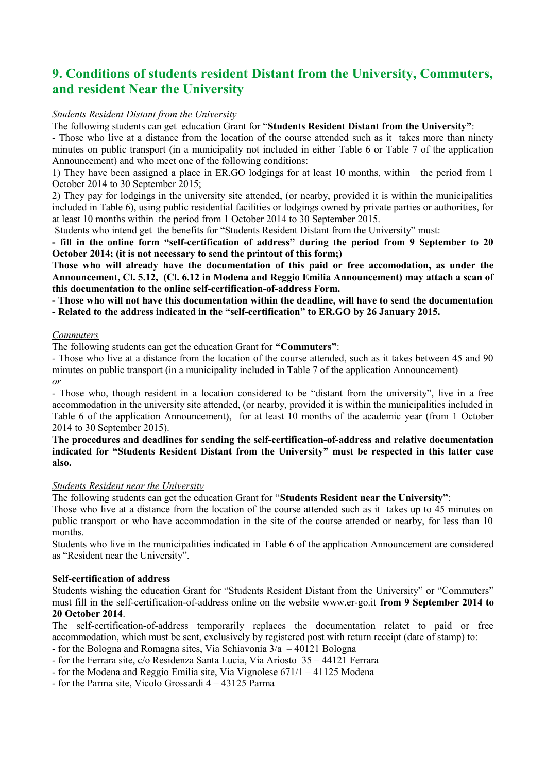# **9. Conditions of students resident Distant from the University, Commuters, and resident Near the University**

#### *Students Resident Distant from the University*

The following students can get education Grant for "**Students Resident Distant from the University"**:

- Those who live at a distance from the location of the course attended such as it takes more than ninety minutes on public transport (in a municipality not included in either Table 6 or Table 7 of the application Announcement) and who meet one of the following conditions:

1) They have been assigned a place in ER.GO lodgings for at least 10 months, within the period from 1 October 2014 to 30 September 2015;

2) They pay for lodgings in the university site attended, (or nearby, provided it is within the municipalities included in Table 6), using public residential facilities or lodgings owned by private parties or authorities, for at least 10 months within the period from 1 October 2014 to 30 September 2015.

Students who intend get the benefits for "Students Resident Distant from the University" must:

**- fill in the online form "self-certification of address" during the period from 9 September to 20 October 2014; (it is not necessary to send the printout of this form;)** 

**Those who will already have the documentation of this paid or free accomodation, as under the Announcement, Cl. 5.12, (Cl. 6.12 in Modena and Reggio Emilia Announcement) may attach a scan of this documentation to the online self-certification-of-address Form.**

**- Those who will not have this documentation within the deadline, will have to send the documentation - Related to the address indicated in the "self-certification" to ER.GO by 26 January 2015.**

#### *Commuters*

The following students can get the education Grant for **"Commuters"**:

- Those who live at a distance from the location of the course attended, such as it takes between 45 and 90 minutes on public transport (in a municipality included in Table 7 of the application Announcement) *or*

- Those who, though resident in a location considered to be "distant from the university", live in a free accommodation in the university site attended, (or nearby, provided it is within the municipalities included in Table 6 of the application Announcement), for at least 10 months of the academic year (from 1 October 2014 to 30 September 2015).

#### **The procedures and deadlines for sending the self-certification-of-address and relative documentation indicated for "Students Resident Distant from the University" must be respected in this latter case also.**

#### *Students Resident near the University*

The following students can get the education Grant for "**Students Resident near the University"**:

Those who live at a distance from the location of the course attended such as it takes up to 45 minutes on public transport or who have accommodation in the site of the course attended or nearby, for less than 10 months.

Students who live in the municipalities indicated in Table 6 of the application Announcement are considered as "Resident near the University".

#### **Self-certification of address**

Students wishing the education Grant for "Students Resident Distant from the University" or "Commuters" must fill in the self-certification-of-address online on the website www.er-go.it **from 9 September 2014 to 20 October 2014**.

The self-certification-of-address temporarily replaces the documentation relatet to paid or free accommodation, which must be sent, exclusively by registered post with return receipt (date of stamp) to:

- for the Bologna and Romagna sites, Via Schiavonia  $3/a - 40121$  Bologna

- for the Ferrara site, c/o Residenza Santa Lucia, Via Ariosto 35 44121 Ferrara
- for the Modena and Reggio Emilia site, Via Vignolese 671/1 41125 Modena
- for the Parma site, Vicolo Grossardi 4 43125 Parma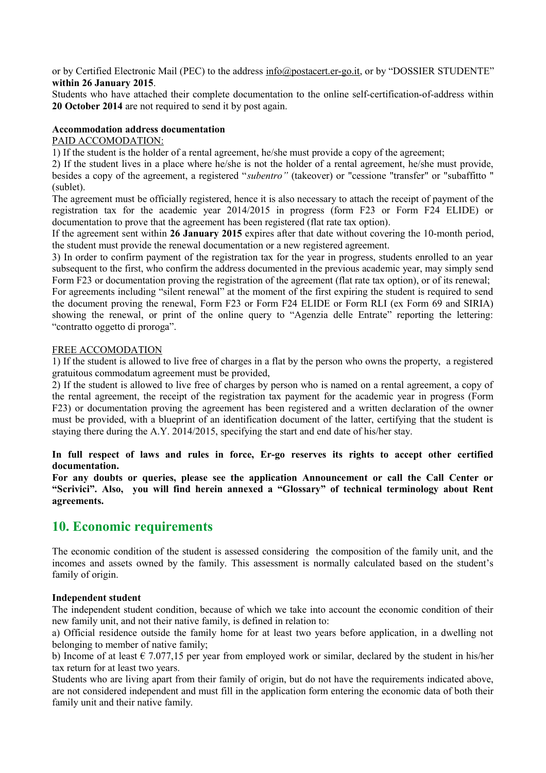or by Certified Electronic Mail (PEC) to the address  $\frac{info(\partial) postacent(er-go.it}$ , or by "DOSSIER STUDENTE" **within 26 January 2015**.

Students who have attached their complete documentation to the online self-certification-of-address within **20 October 2014** are not required to send it by post again.

#### **Accommodation address documentation**

#### PAID ACCOMODATION:

1) If the student is the holder of a rental agreement, he/she must provide a copy of the agreement;

2) If the student lives in a place where he/she is not the holder of a rental agreement, he/she must provide, besides a copy of the agreement, a registered "*subentro"* (takeover) or "cessione "transfer" or "subaffitto " (sublet).

The agreement must be officially registered, hence it is also necessary to attach the receipt of payment of the registration tax for the academic year 2014/2015 in progress (form F23 or Form F24 ELIDE) or documentation to prove that the agreement has been registered (flat rate tax option).

If the agreement sent within **26 January 2015** expires after that date without covering the 10-month period, the student must provide the renewal documentation or a new registered agreement.

3) In order to confirm payment of the registration tax for the year in progress, students enrolled to an year subsequent to the first, who confirm the address documented in the previous academic year, may simply send Form F23 or documentation proving the registration of the agreement (flat rate tax option), or of its renewal;

For agreements including "silent renewal" at the moment of the first expiring the student is required to send the document proving the renewal, Form F23 or Form F24 ELIDE or Form RLI (ex Form 69 and SIRIA) showing the renewal, or print of the online query to "Agenzia delle Entrate" reporting the lettering: "contratto oggetto di proroga".

#### FREE ACCOMODATION

1) If the student is allowed to live free of charges in a flat by the person who owns the property, a registered gratuitous commodatum agreement must be provided,

2) If the student is allowed to live free of charges by person who is named on a rental agreement, a copy of the rental agreement, the receipt of the registration tax payment for the academic year in progress (Form F23) or documentation proving the agreement has been registered and a written declaration of the owner must be provided, with a blueprint of an identification document of the latter, certifying that the student is staying there during the A.Y. 2014/2015, specifying the start and end date of his/her stay.

**In full respect of laws and rules in force, Er-go reserves its rights to accept other certified documentation.**

**For any doubts or queries, please see the application Announcement or call the Call Center or "Scrivici". Also, you will find herein annexed a "Glossary" of technical terminology about Rent agreements.**

## **10. Economic requirements**

The economic condition of the student is assessed considering the composition of the family unit, and the incomes and assets owned by the family. This assessment is normally calculated based on the student's family of origin.

#### **Independent student**

The independent student condition, because of which we take into account the economic condition of their new family unit, and not their native family, is defined in relation to:

a) Official residence outside the family home for at least two years before application, in a dwelling not belonging to member of native family;

b) Income of at least  $\epsilon$  7.077,15 per year from employed work or similar, declared by the student in his/her tax return for at least two years.

Students who are living apart from their family of origin, but do not have the requirements indicated above, are not considered independent and must fill in the application form entering the economic data of both their family unit and their native family.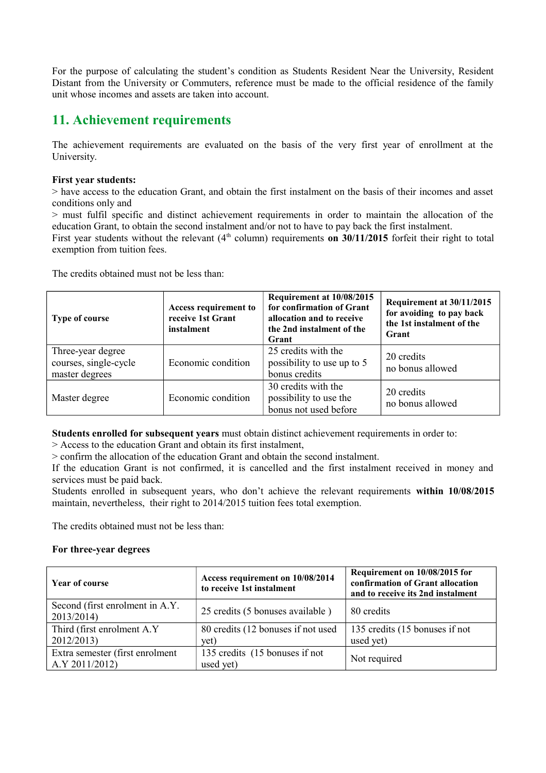For the purpose of calculating the student's condition as Students Resident Near the University, Resident Distant from the University or Commuters, reference must be made to the official residence of the family unit whose incomes and assets are taken into account.

## **11. Achievement requirements**

The achievement requirements are evaluated on the basis of the very first year of enrollment at the University.

#### **First year students:**

> have access to the education Grant, and obtain the first instalment on the basis of their incomes and asset conditions only and

> must fulfil specific and distinct achievement requirements in order to maintain the allocation of the education Grant, to obtain the second instalment and/or not to have to pay back the first instalment.

First year students without the relevant (4<sup>th</sup> column) requirements **on 30/11/2015** forfeit their right to total exemption from tuition fees.

The credits obtained must not be less than:

| Type of course                                               | Access requirement to<br>receive 1st Grant<br>instalment | Requirement at 10/08/2015<br>for confirmation of Grant<br>allocation and to receive<br>the 2nd instalment of the<br>Grant | Requirement at 30/11/2015<br>for avoiding to pay back<br>the 1st instalment of the<br>Grant |
|--------------------------------------------------------------|----------------------------------------------------------|---------------------------------------------------------------------------------------------------------------------------|---------------------------------------------------------------------------------------------|
| Three-year degree<br>courses, single-cycle<br>master degrees | Economic condition                                       | 25 credits with the<br>possibility to use up to 5<br>bonus credits                                                        | 20 credits<br>no bonus allowed                                                              |
| Master degree                                                | Economic condition                                       | 30 credits with the<br>possibility to use the<br>bonus not used before                                                    | 20 credits<br>no bonus allowed                                                              |

**Students enrolled for subsequent years** must obtain distinct achievement requirements in order to:

> Access to the education Grant and obtain its first instalment,

> confirm the allocation of the education Grant and obtain the second instalment.

If the education Grant is not confirmed, it is cancelled and the first instalment received in money and services must be paid back.

Students enrolled in subsequent years, who don't achieve the relevant requirements **within 10/08/2015** maintain, nevertheless, their right to 2014/2015 tuition fees total exemption.

The credits obtained must not be less than:

#### **For three-year degrees**

| Year of course                                 | Access requirement on 10/08/2014<br>to receive 1st instalment | Requirement on 10/08/2015 for<br>confirmation of Grant allocation<br>and to receive its 2nd instalment |
|------------------------------------------------|---------------------------------------------------------------|--------------------------------------------------------------------------------------------------------|
| Second (first enrolment in A.Y.)<br>2013/2014) | 25 credits (5 bonuses available)                              | 80 credits                                                                                             |
| Third (first enrolment A.Y)                    | 80 credits (12 bonuses if not used                            | 135 credits (15 bonuses if not                                                                         |
| 2012/2013)                                     | yet)                                                          | used yet)                                                                                              |
| Extra semester (first enrolment                | 135 credits (15 bonuses if not                                | Not required                                                                                           |
| A.Y 2011/2012)                                 | used yet)                                                     |                                                                                                        |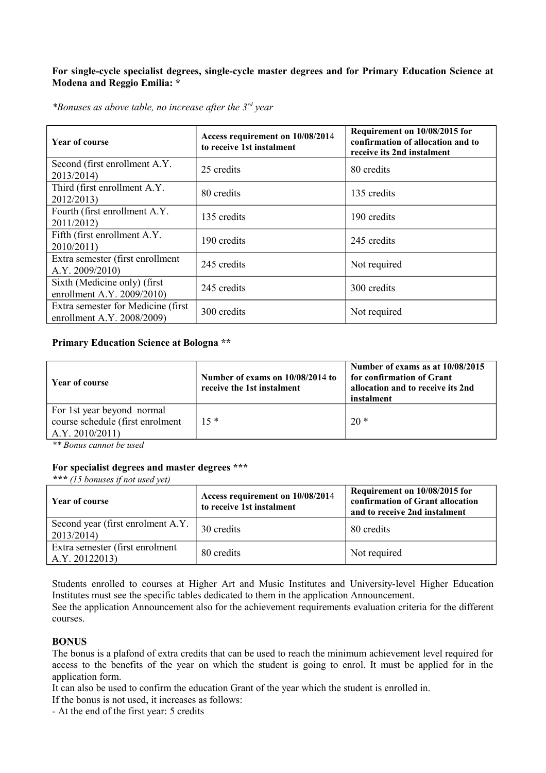#### **For single-cycle specialist degrees, single-cycle master degrees and for Primary Education Science at Modena and Reggio Emilia: \***

*\*Bonuses as above table, no increase after the 3rd year*

| <b>Year of course</b>                                             | Access requirement on 10/08/2014<br>to receive 1st instalment | Requirement on 10/08/2015 for<br>confirmation of allocation and to<br>receive its 2nd instalment |
|-------------------------------------------------------------------|---------------------------------------------------------------|--------------------------------------------------------------------------------------------------|
| Second (first enrollment A.Y.)<br>2013/2014)                      | 25 credits                                                    | 80 credits                                                                                       |
| Third (first enrollment A.Y.)<br>2012/2013)                       | 80 credits                                                    | 135 credits                                                                                      |
| Fourth (first enrollment A.Y.)<br>2011/2012)                      | 135 credits                                                   | 190 credits                                                                                      |
| Fifth (first enrollment A.Y.)<br>2010/2011                        | 190 credits                                                   | 245 credits                                                                                      |
| Extra semester (first enrollment)<br>A.Y. 2009/2010               | 245 credits                                                   | Not required                                                                                     |
| Sixth (Medicine only) (first)<br>enrollment A.Y. 2009/2010)       | 245 credits                                                   | 300 credits                                                                                      |
| Extra semester for Medicine (first)<br>enrollment A.Y. 2008/2009) | 300 credits                                                   | Not required                                                                                     |

#### **Primary Education Science at Bologna \*\***

| Year of course                                                                   | Number of exams on 10/08/2014 to<br>receive the 1st instalment | Number of exams as at 10/08/2015<br>for confirmation of Grant<br>allocation and to receive its 2nd<br>instalment |
|----------------------------------------------------------------------------------|----------------------------------------------------------------|------------------------------------------------------------------------------------------------------------------|
| For 1st year beyond normal<br>course schedule (first enrolment<br>A.Y. 2010/2011 | $15*$                                                          | $20*$                                                                                                            |

*\*\* Bonus cannot be used*

#### **For specialist degrees and master degrees \*\*\***

*\*\*\* (15 bonuses if not used yet)*

| Year of course                                     | Access requirement on 10/08/2014<br>to receive 1st instalment | Requirement on 10/08/2015 for<br>confirmation of Grant allocation<br>and to receive 2nd instalment |
|----------------------------------------------------|---------------------------------------------------------------|----------------------------------------------------------------------------------------------------|
| Second year (first enrolment A.Y.<br>2013/2014     | 30 credits                                                    | 80 credits                                                                                         |
| Extra semester (first enrolment)<br>A.Y. 20122013) | 80 credits                                                    | Not required                                                                                       |

Students enrolled to courses at Higher Art and Music Institutes and University-level Higher Education Institutes must see the specific tables dedicated to them in the application Announcement.

See the application Announcement also for the achievement requirements evaluation criteria for the different courses.

#### **BONUS**

The bonus is a plafond of extra credits that can be used to reach the minimum achievement level required for access to the benefits of the year on which the student is going to enrol. It must be applied for in the application form.

It can also be used to confirm the education Grant of the year which the student is enrolled in.

If the bonus is not used, it increases as follows:

- At the end of the first year: 5 credits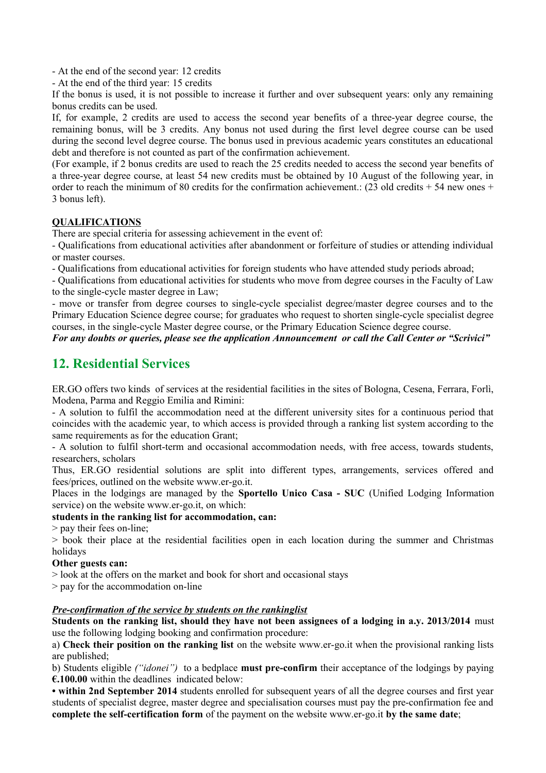- At the end of the second year: 12 credits

- At the end of the third year: 15 credits

If the bonus is used, it is not possible to increase it further and over subsequent years: only any remaining bonus credits can be used.

If, for example, 2 credits are used to access the second year benefits of a three-year degree course, the remaining bonus, will be 3 credits. Any bonus not used during the first level degree course can be used during the second level degree course. The bonus used in previous academic years constitutes an educational debt and therefore is not counted as part of the confirmation achievement.

(For example, if 2 bonus credits are used to reach the 25 credits needed to access the second year benefits of a three-year degree course, at least 54 new credits must be obtained by 10 August of the following year, in order to reach the minimum of 80 credits for the confirmation achievement.:  $(23 \text{ old credits} + 54 \text{ new ones} +$ 3 bonus left).

#### **QUALIFICATIONS**

There are special criteria for assessing achievement in the event of:

- Qualifications from educational activities after abandonment or forfeiture of studies or attending individual or master courses.

- Qualifications from educational activities for foreign students who have attended study periods abroad;

- Qualifications from educational activities for students who move from degree courses in the Faculty of Law to the single-cycle master degree in Law;

- move or transfer from degree courses to single-cycle specialist degree/master degree courses and to the Primary Education Science degree course; for graduates who request to shorten single-cycle specialist degree courses, in the single-cycle Master degree course, or the Primary Education Science degree course.

#### *For any doubts or queries, please see the application Announcement or call the Call Center or "Scrivici"*

## **12. Residential Services**

ER.GO offers two kinds of services at the residential facilities in the sites of Bologna, Cesena, Ferrara, Forlì, Modena, Parma and Reggio Emilia and Rimini:

- A solution to fulfil the accommodation need at the different university sites for a continuous period that coincides with the academic year, to which access is provided through a ranking list system according to the same requirements as for the education Grant:

- A solution to fulfil short-term and occasional accommodation needs, with free access, towards students, researchers, scholars

Thus, ER.GO residential solutions are split into different types, arrangements, services offered and fees/prices, outlined on the website www.er-go.it.

Places in the lodgings are managed by the **Sportello Unico Casa - SUC** (Unified Lodging Information service) on the website www.er-go.it, on which:

#### **students in the ranking list for accommodation, can:**

> pay their fees on-line;

> book their place at the residential facilities open in each location during the summer and Christmas holidays

#### **Other guests can:**

> look at the offers on the market and book for short and occasional stays

> pay for the accommodation on-line

#### *Pre-confirmation of the service by students on the rankinglist*

**Students on the ranking list, should they have not been assignees of a lodging in a.y. 2013/2014** must use the following lodging booking and confirmation procedure:

a) **Check their position on the ranking list** on the website www.er-go.it when the provisional ranking lists are published;

b) Students eligible *("idonei")* to a bedplace **must pre-confirm** their acceptance of the lodgings by paying **€.100.00** within the deadlines indicated below:

**• within 2nd September 2014** students enrolled for subsequent years of all the degree courses and first year students of specialist degree, master degree and specialisation courses must pay the pre-confirmation fee and **complete the self-certification form** of the payment on the website www.er-go.it **by the same date**;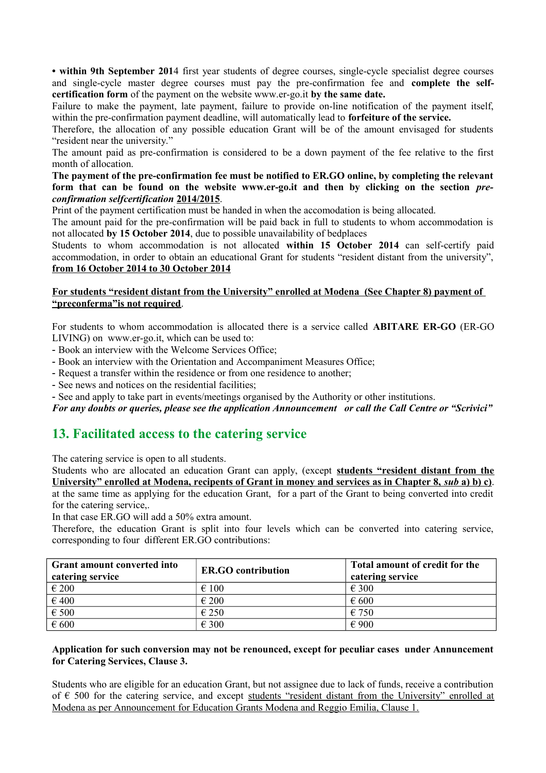**• within 9th September 201**4 first year students of degree courses, single-cycle specialist degree courses and single-cycle master degree courses must pay the pre-confirmation fee and **complete the selfcertification form** of the payment on the website www.er-go.it **by the same date.**

Failure to make the payment, late payment, failure to provide on-line notification of the payment itself, within the pre-confirmation payment deadline, will automatically lead to **forfeiture of the service.** 

Therefore, the allocation of any possible education Grant will be of the amount envisaged for students "resident near the university."

The amount paid as pre-confirmation is considered to be a down payment of the fee relative to the first month of allocation.

**The payment of the pre-confirmation fee must be notified to ER.GO online, by completing the relevant form that can be found on the website www.er-go.it and then by clicking on the section** *preconfirmation selfcertification* **2014/2015**.

Print of the payment certification must be handed in when the accomodation is being allocated.

The amount paid for the pre-confirmation will be paid back in full to students to whom accommodation is not allocated **by 15 October 2014**, due to possible unavailability of bedplaces

Students to whom accommodation is not allocated **within 15 October 2014** can self-certify paid accommodation, in order to obtain an educational Grant for students "resident distant from the university",  **from 16 October 2014 to 30 October 2014**

#### **For students "resident distant from the University" enrolled at Modena (See Chapter 8) payment of "preconferma"is not required**.

For students to whom accommodation is allocated there is a service called **ABITARE ER-GO** (ER-GO LIVING) on www.er-go.it, which can be used to:

- Book an interview with the Welcome Services Office;

- Book an interview with the Orientation and Accompaniment Measures Office;

- Request a transfer within the residence or from one residence to another;

- See news and notices on the residential facilities;

- See and apply to take part in events/meetings organised by the Authority or other institutions.

*For any doubts or queries, please see the application Announcement or call the Call Centre or "Scrivici"*

## **13. Facilitated access to the catering service**

The catering service is open to all students.

Students who are allocated an education Grant can apply, (except **students "resident distant from the University" enrolled at Modena, recipents of Grant in money and services as in Chapter 8,** *sub* **a) b) c)**. at the same time as applying for the education Grant, for a part of the Grant to being converted into credit for the catering service,.

In that case ER.GO will add a 50% extra amount.

Therefore, the education Grant is split into four levels which can be converted into catering service, corresponding to four different ER.GO contributions:

| <b>Grant amount converted into</b><br>catering service | <b>ER.GO</b> contribution | Total amount of credit for the<br>catering service |
|--------------------------------------------------------|---------------------------|----------------------------------------------------|
| $\epsilon$ 200                                         | $\epsilon$ 100            | $\epsilon$ 300                                     |
| $\epsilon$ 400                                         | $\epsilon$ 200            | $\epsilon$ 600                                     |
| $\epsilon$ 500                                         | $\epsilon$ 250            | $\epsilon$ 750                                     |
| $\epsilon$ 600                                         | $\epsilon$ 300            | $\epsilon$ 900                                     |

#### **Application for such conversion may not be renounced, except for peculiar cases under Annuncement for Catering Services, Clause 3.**

Students who are eligible for an education Grant, but not assignee due to lack of funds, receive a contribution of  $\epsilon$  500 for the catering service, and except students "resident distant from the University" enrolled at Modena as per Announcement for Education Grants Modena and Reggio Emilia, Clause 1.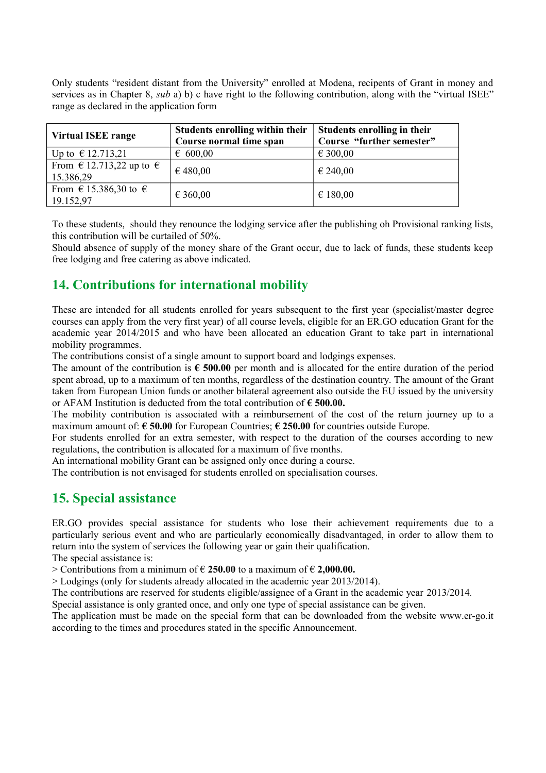Only students "resident distant from the University" enrolled at Modena, recipents of Grant in money and services as in Chapter 8, *sub* a) b) c have right to the following contribution, along with the "virtual ISEE" range as declared in the application form

| <b>Virtual ISEE range</b>                     | Students enrolling within their<br>Course normal time span | Students enrolling in their<br>Course "further semester" |
|-----------------------------------------------|------------------------------------------------------------|----------------------------------------------------------|
| Up to € 12.713,21                             | 600,00                                                     | € 300,00                                                 |
| From $\in$ 12.713,22 up to $\in$<br>15.386,29 | € 480,00                                                   | € 240,00                                                 |
| From $\in$ 15.386,30 to $\in$<br>19.152,97    | € 360,00                                                   | € 180,00                                                 |

To these students, should they renounce the lodging service after the publishing oh Provisional ranking lists, this contribution will be curtailed of 50%.

Should absence of supply of the money share of the Grant occur, due to lack of funds, these students keep free lodging and free catering as above indicated.

## **14. Contributions for international mobility**

These are intended for all students enrolled for years subsequent to the first year (specialist/master degree courses can apply from the very first year) of all course levels, eligible for an ER.GO education Grant for the academic year 2014/2015 and who have been allocated an education Grant to take part in international mobility programmes.

The contributions consist of a single amount to support board and lodgings expenses.

The amount of the contribution is **€ 500.00** per month and is allocated for the entire duration of the period spent abroad, up to a maximum of ten months, regardless of the destination country. The amount of the Grant taken from European Union funds or another bilateral agreement also outside the EU issued by the university or AFAM Institution is deducted from the total contribution of **€ 500.00.** 

The mobility contribution is associated with a reimbursement of the cost of the return journey up to a maximum amount of: **€ 50.00** for European Countries; **€ 250.00** for countries outside Europe.

For students enrolled for an extra semester, with respect to the duration of the courses according to new regulations, the contribution is allocated for a maximum of five months.

An international mobility Grant can be assigned only once during a course.

The contribution is not envisaged for students enrolled on specialisation courses.

## **15. Special assistance**

ER.GO provides special assistance for students who lose their achievement requirements due to a particularly serious event and who are particularly economically disadvantaged, in order to allow them to return into the system of services the following year or gain their qualification.

The special assistance is:

> Contributions from a minimum of € **250.00** to a maximum of € **2,000.00.**

> Lodgings (only for students already allocated in the academic year 2013/2014).

The contributions are reserved for students eligible/assignee of a Grant in the academic year 2013/2014.

Special assistance is only granted once, and only one type of special assistance can be given.

The application must be made on the special form that can be downloaded from the website www.er-go.it according to the times and procedures stated in the specific Announcement.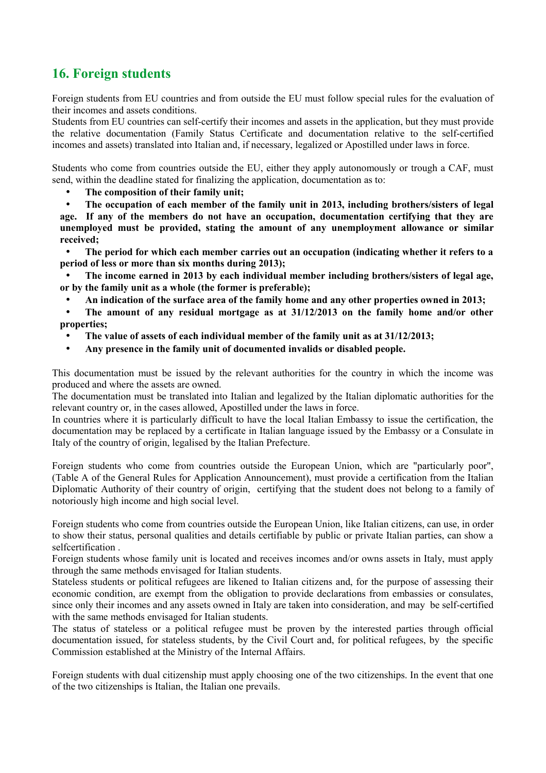# **16. Foreign students**

Foreign students from EU countries and from outside the EU must follow special rules for the evaluation of their incomes and assets conditions.

Students from EU countries can self-certify their incomes and assets in the application, but they must provide the relative documentation (Family Status Certificate and documentation relative to the self-certified incomes and assets) translated into Italian and, if necessary, legalized or Apostilled under laws in force.

Students who come from countries outside the EU, either they apply autonomously or trough a CAF, must send, within the deadline stated for finalizing the application, documentation as to:

• **The composition of their family unit;**

• **The occupation of each member of the family unit in 2013, including brothers/sisters of legal age. If any of the members do not have an occupation, documentation certifying that they are unemployed must be provided, stating the amount of any unemployment allowance or similar received;**

• **The period for which each member carries out an occupation (indicating whether it refers to a period of less or more than six months during 2013);**

• **The income earned in 2013 by each individual member including brothers/sisters of legal age, or by the family unit as a whole (the former is preferable);**

• **An indication of the surface area of the family home and any other properties owned in 2013;**

• **The amount of any residual mortgage as at 31/12/2013 on the family home and/or other properties;**

- **The value of assets of each individual member of the family unit as at 31/12/2013;**
- **Any presence in the family unit of documented invalids or disabled people.**

This documentation must be issued by the relevant authorities for the country in which the income was produced and where the assets are owned.

The documentation must be translated into Italian and legalized by the Italian diplomatic authorities for the relevant country or, in the cases allowed, Apostilled under the laws in force.

In countries where it is particularly difficult to have the local Italian Embassy to issue the certification, the documentation may be replaced by a certificate in Italian language issued by the Embassy or a Consulate in Italy of the country of origin, legalised by the Italian Prefecture.

Foreign students who come from countries outside the European Union, which are "particularly poor", (Table A of the General Rules for Application Announcement), must provide a certification from the Italian Diplomatic Authority of their country of origin, certifying that the student does not belong to a family of notoriously high income and high social level.

Foreign students who come from countries outside the European Union, like Italian citizens, can use, in order to show their status, personal qualities and details certifiable by public or private Italian parties, can show a selfcertification.

Foreign students whose family unit is located and receives incomes and/or owns assets in Italy, must apply through the same methods envisaged for Italian students.

Stateless students or political refugees are likened to Italian citizens and, for the purpose of assessing their economic condition, are exempt from the obligation to provide declarations from embassies or consulates, since only their incomes and any assets owned in Italy are taken into consideration, and may be self-certified with the same methods envisaged for Italian students.

The status of stateless or a political refugee must be proven by the interested parties through official documentation issued, for stateless students, by the Civil Court and, for political refugees, by the specific Commission established at the Ministry of the Internal Affairs.

Foreign students with dual citizenship must apply choosing one of the two citizenships. In the event that one of the two citizenships is Italian, the Italian one prevails.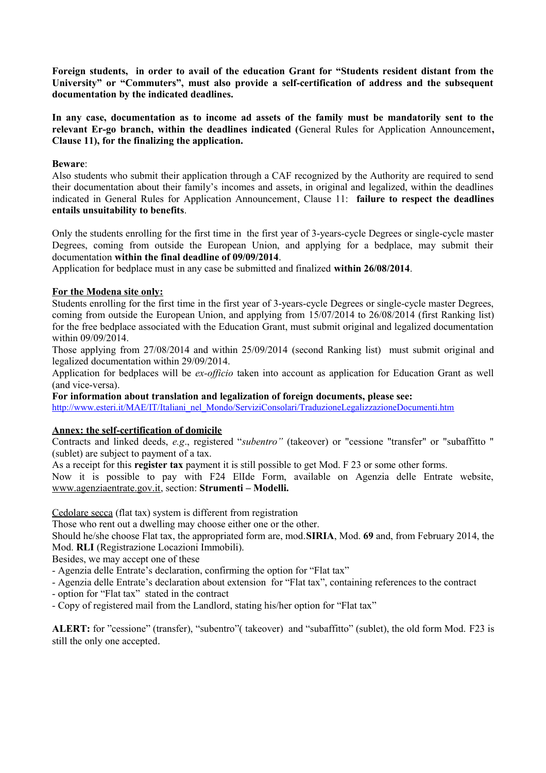**Foreign students, in order to avail of the education Grant for "Students resident distant from the University" or "Commuters", must also provide a self-certification of address and the subsequent documentation by the indicated deadlines.** 

**In any case, documentation as to income ad assets of the family must be mandatorily sent to the relevant Er-go branch, within the deadlines indicated (**General Rules for Application Announcement**, Clause 11), for the finalizing the application.**

#### **Beware**:

Also students who submit their application through a CAF recognized by the Authority are required to send their documentation about their family's incomes and assets, in original and legalized, within the deadlines indicated in General Rules for Application Announcement, Clause 11: **failure to respect the deadlines entails unsuitability to benefits**.

Only the students enrolling for the first time in the first year of 3-years-cycle Degrees or single-cycle master Degrees, coming from outside the European Union, and applying for a bedplace, may submit their documentation **within the final deadline of 09/09/2014**.

Application for bedplace must in any case be submitted and finalized **within 26/08/2014**.

#### **For the Modena site only:**

Students enrolling for the first time in the first year of 3-years-cycle Degrees or single-cycle master Degrees, coming from outside the European Union, and applying from 15/07/2014 to 26/08/2014 (first Ranking list) for the free bedplace associated with the Education Grant, must submit original and legalized documentation within 09/09/2014

Those applying from 27/08/2014 and within 25/09/2014 (second Ranking list) must submit original and legalized documentation within 29/09/2014.

Application for bedplaces will be *ex-officio* taken into account as application for Education Grant as well (and vice-versa).

**For information about translation and legalization of foreign documents, please see:**

[http://www.esteri.it/MAE/IT/Italiani\\_nel\\_Mondo/ServiziConsolari/TraduzioneLegalizzazioneDocumenti.htm](http://www.esteri.it/MAE/IT/Italiani_nel_Mondo/ServiziConsolari/TraduzioneLegalizzazioneDocumenti.htm)

#### **Annex: the self-certification of domicile**

Contracts and linked deeds, *e.g*., registered "*subentro"* (takeover) or "cessione "transfer" or "subaffitto " (sublet) are subject to payment of a tax.

As a receipt for this **register tax** payment it is still possible to get Mod. F 23 or some other forms.

Now it is possible to pay with F24 ElIde Form, available on Agenzia delle Entrate website, [www.agenziaentrate.gov.it,](http://www.agenziaentrate.gov.it/) section: **Strumenti – Modelli.**

Cedolare secca (flat tax) system is different from registration

Those who rent out a dwelling may choose either one or the other.

Should he/she choose Flat tax, the appropriated form are, mod.**SIRIA**, Mod. **69** and, from February 2014, the Mod. **RLI** (Registrazione Locazioni Immobili).

Besides, we may accept one of these

- Agenzia delle Entrate's declaration, confirming the option for "Flat tax"

- Agenzia delle Entrate's declaration about extension for "Flat tax", containing references to the contract

- option for "Flat tax" stated in the contract
- Copy of registered mail from the Landlord, stating his/her option for "Flat tax"

**ALERT:** for "cessione" (transfer), "subentro"( takeover) and "subaffitto" (sublet), the old form Mod. F23 is still the only one accepted.